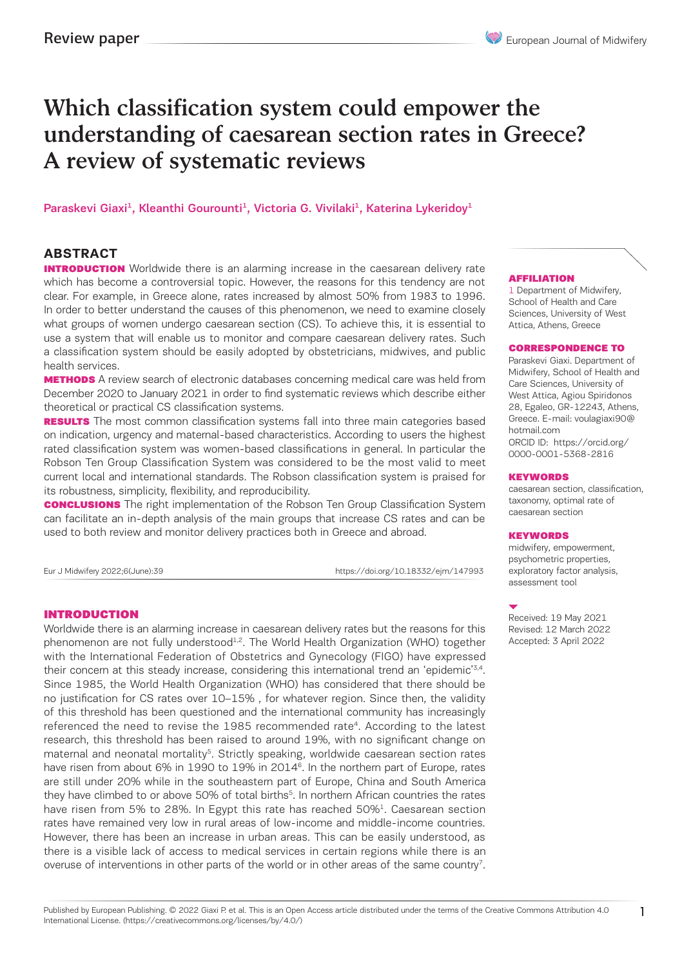# Which classification system could empower the understanding of caesarean section rates in Greece? A review of systematic reviews

Paraskevi Giaxi<sup>1</sup>, Kleanthi Gourounti<sup>1</sup>, Victoria G. Vivilaki<sup>1</sup>, Katerina Lykeridoy<sup>1</sup>

# **ABSTRACT**

**INTRODUCTION** Worldwide there is an alarming increase in the caesarean delivery rate which has become a controversial topic. However, the reasons for this tendency are not clear. For example, in Greece alone, rates increased by almost 50% from 1983 to 1996. In order to better understand the causes of this phenomenon, we need to examine closely what groups of women undergo caesarean section (CS). To achieve this, it is essential to use a system that will enable us to monitor and compare caesarean delivery rates. Such a classification system should be easily adopted by obstetricians, midwives, and public health services.

**METHODS** A review search of electronic databases concerning medical care was held from December 2020 to January 2021 in order to find systematic reviews which describe either theoretical or practical CS classification systems.

**RESULTS** The most common classification systems fall into three main categories based on indication, urgency and maternal-based characteristics. According to users the highest rated classification system was women-based classifications in general. In particular the Robson Ten Group Classification System was considered to be the most valid to meet current local and international standards. The Robson classification system is praised for its robustness, simplicity, flexibility, and reproducibility.

**CONCLUSIONS** The right implementation of the Robson Ten Group Classification System can facilitate an in-depth analysis of the main groups that increase CS rates and can be used to both review and monitor delivery practices both in Greece and abroad.

Eur J Midwifery 2022;6(June):39 https://doi.org/10.18332/ejm/147993

# INTRODUCTION

Worldwide there is an alarming increase in caesarean delivery rates but the reasons for this phenomenon are not fully understood<sup>1,2</sup>. The World Health Organization (WHO) together with the International Federation of Obstetrics and Gynecology (FIGO) have expressed their concern at this steady increase, considering this international trend an 'epidemic'<sup>3,4</sup>. Since 1985, the World Health Organization (WHO) has considered that there should be no justification for CS rates over 10–15% , for whatever region. Since then, the validity of this threshold has been questioned and the international community has increasingly referenced the need to revise the 1985 recommended rate<sup>4</sup>. According to the latest research, this threshold has been raised to around 19%, with no significant change on maternal and neonatal mortality<sup>5</sup>. Strictly speaking, worldwide caesarean section rates have risen from about 6% in 1990 to 19% in 2014<sup>6</sup>. In the northern part of Europe, rates are still under 20% while in the southeastern part of Europe, China and South America they have climbed to or above 50% of total births<sup>5</sup>. In northern African countries the rates have risen from 5% to 28%. In Egypt this rate has reached 50%<sup>1</sup>. Caesarean section rates have remained very low in rural areas of low-income and middle-income countries. However, there has been an increase in urban areas. This can be easily understood, as there is a visible lack of access to medical services in certain regions while there is an overuse of interventions in other parts of the world or in other areas of the same country<sup>7</sup>.

### AFFILIATION

1 Department of Midwifery, School of Health and Care Sciences, University of West Attica, Athens, Greece

### CORRESPONDENCE TO

Paraskevi Giaxi. Department of Midwifery, School of Health and Care Sciences, University of West Attica, Agiou Spiridonos 28, Egaleo, GR-12243, Athens, Greece. E-mail: voulagiaxi90@ hotmail.com ORCID ID: https://orcid.org/ 0000-0001-5368-2816

### KEYWORDS

caesarean section, classification, taxonomy, optimal rate of caesarean section

#### **KEYWORDS**

midwifery, empowerment, psychometric properties, exploratory factor analysis, assessment tool

Received: 19 May 2021 Revised: 12 March 2022 Accepted: 3 April 2022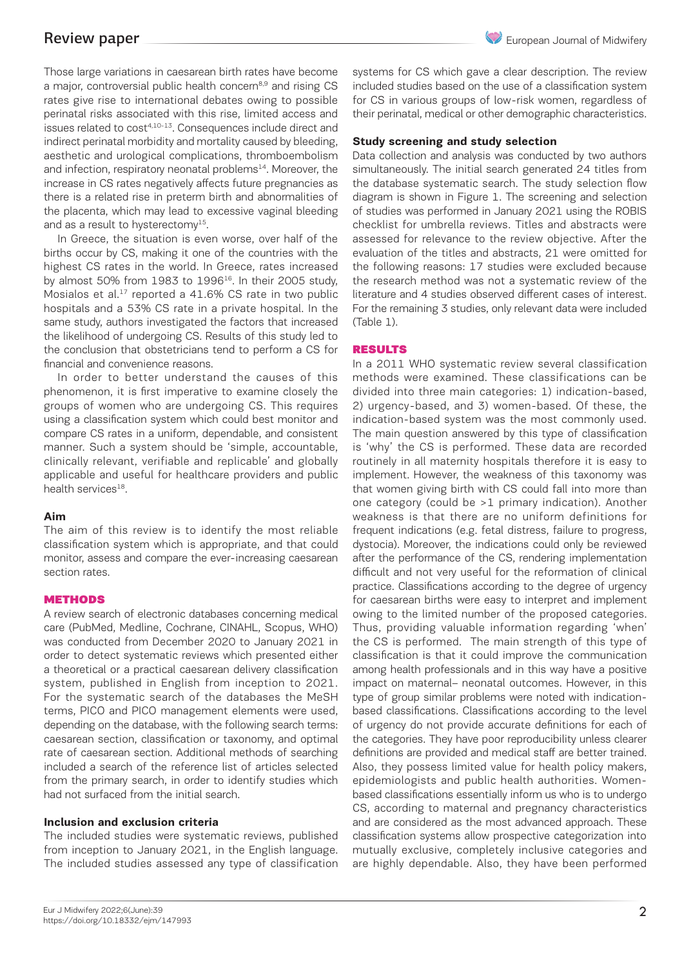Those large variations in caesarean birth rates have become a major, controversial public health concern<sup>8,9</sup> and rising CS rates give rise to international debates owing to possible perinatal risks associated with this rise, limited access and issues related to cost4,10-13. Consequences include direct and indirect perinatal morbidity and mortality caused by bleeding, aesthetic and urological complications, thromboembolism and infection, respiratory neonatal problems<sup>14</sup>. Moreover, the increase in CS rates negatively affects future pregnancies as there is a related rise in preterm birth and abnormalities of the placenta, which may lead to excessive vaginal bleeding and as a result to hysterectomy $^{15}$ .

In Greece, the situation is even worse, over half of the births occur by CS, making it one of the countries with the highest CS rates in the world. In Greece, rates increased by almost  $50\%$  from  $1983$  to  $1996^{16}$ . In their 2005 study, Mosialos et al.<sup>17</sup> reported a 41.6% CS rate in two public hospitals and a 53% CS rate in a private hospital. In the same study, authors investigated the factors that increased the likelihood of undergoing CS. Results of this study led to the conclusion that obstetricians tend to perform a CS for financial and convenience reasons.

In order to better understand the causes of this phenomenon, it is first imperative to examine closely the groups of women who are undergoing CS. This requires using a classification system which could best monitor and compare CS rates in a uniform, dependable, and consistent manner. Such a system should be 'simple, accountable, clinically relevant, verifiable and replicable' and globally applicable and useful for healthcare providers and public health services<sup>18</sup>.

### **Aim**

The aim of this review is to identify the most reliable classification system which is appropriate, and that could monitor, assess and compare the ever-increasing caesarean section rates.

### **METHODS**

A review search of electronic databases concerning medical care (PubMed, Medline, Cochrane, CINAHL, Scopus, WHO) was conducted from December 2020 to January 2021 in order to detect systematic reviews which presented either a theoretical or a practical caesarean delivery classification system, published in English from inception to 2021. For the systematic search of the databases the MeSH terms, PICO and PICO management elements were used, depending on the database, with the following search terms: caesarean section, classification or taxonomy, and optimal rate of caesarean section. Additional methods of searching included a search of the reference list of articles selected from the primary search, in order to identify studies which had not surfaced from the initial search.

# **Inclusion and exclusion criteria**

The included studies were systematic reviews, published from inception to January 2021, in the English language. The included studies assessed any type of classification systems for CS which gave a clear description. The review included studies based on the use of a classification system for CS in various groups of low-risk women, regardless of their perinatal, medical or other demographic characteristics.

### **Study screening and study selection**

Data collection and analysis was conducted by two authors simultaneously. The initial search generated 24 titles from the database systematic search. The study selection flow diagram is shown in Figure 1. The screening and selection of studies was performed in January 2021 using the ROBIS checklist for umbrella reviews. Titles and abstracts were assessed for relevance to the review objective. After the evaluation of the titles and abstracts, 21 were omitted for the following reasons: 17 studies were excluded because the research method was not a systematic review of the literature and 4 studies observed different cases of interest. For the remaining 3 studies, only relevant data were included (Table 1).

### RESULTS

In a 2011 WHO systematic review several classification methods were examined. These classifications can be divided into three main categories: 1) indication-based, 2) urgency-based, and 3) women-based. Of these, the indication-based system was the most commonly used. The main question answered by this type of classification is 'why' the CS is performed. These data are recorded routinely in all maternity hospitals therefore it is easy to implement. However, the weakness of this taxonomy was that women giving birth with CS could fall into more than one category (could be >1 primary indication). Another weakness is that there are no uniform definitions for frequent indications (e.g. fetal distress, failure to progress, dystocia). Moreover, the indications could only be reviewed after the performance of the CS, rendering implementation difficult and not very useful for the reformation of clinical practice. Classifications according to the degree of urgency for caesarean births were easy to interpret and implement owing to the limited number of the proposed categories. Thus, providing valuable information regarding 'when' the CS is performed. The main strength of this type of classification is that it could improve the communication among health professionals and in this way have a positive impact on maternal– neonatal outcomes. However, in this type of group similar problems were noted with indicationbased classifications. Classifications according to the level of urgency do not provide accurate definitions for each of the categories. They have poor reproducibility unless clearer definitions are provided and medical staff are better trained. Also, they possess limited value for health policy makers, epidemiologists and public health authorities. Womenbased classifications essentially inform us who is to undergo CS, according to maternal and pregnancy characteristics and are considered as the most advanced approach. These classification systems allow prospective categorization into mutually exclusive, completely inclusive categories and are highly dependable. Also, they have been performed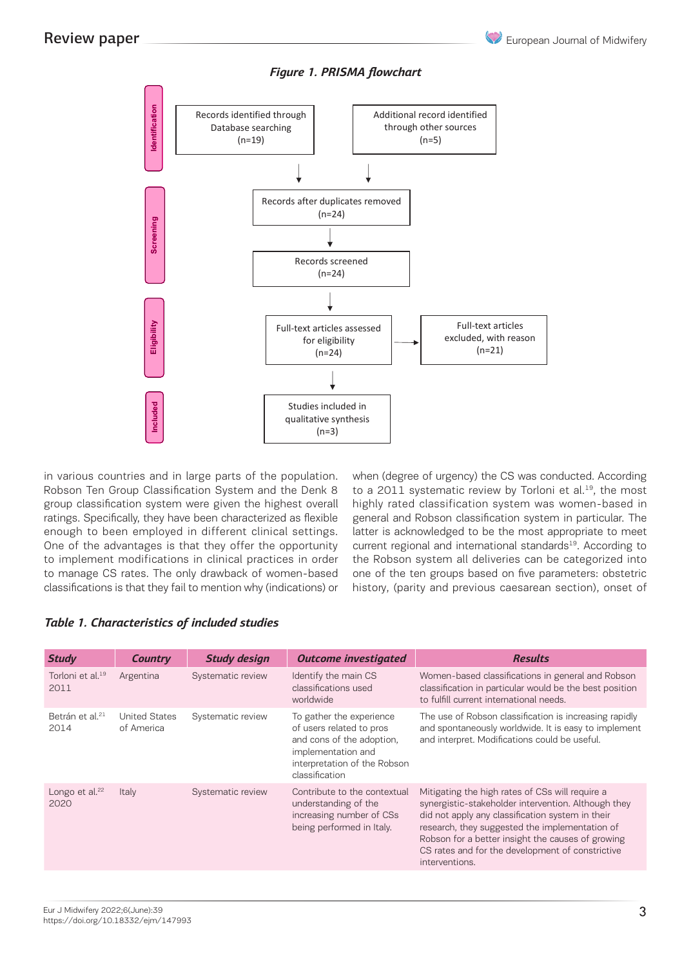



# *Figure 1. PRISMA flowchart*

in various countries and in large parts of the population. *Table 1. Characteristics of included studies* Robson Ten Group Classification System and the Denk 8 **Statem for order exactments of outcome investigated Country Country Study** Country Study Country Study Country Study<br>Broup classification system were given the highest overall highly rated c ratings. Specifically, they have been characterized as flexible ger enough to been employed in different clinical settings. la One of the advantages is that they offer the opportunity to implement modifications in clinical practices in order to miplement modifications in clinical practices in order<br>to manage CS rates. The only drawback of women-based classifications is that they fail to mention why (indications) or 5 U united<br>L  $\frac{1}{2}$  or  $\frac{1}{2}$ nimoat pri awpac  $\frac{1}{2}$ rien-based one

when (degree of urgency) the CS was conducted. According to a 2011 systematic review by Torloni et al.<sup>19</sup>, the most highly rated classification system was women-based in general and Robson classification system in particular. The latter is acknowledged to be the most appropriate to meet current regional and international standards<sup>19</sup>. According to the Robson system all deliveries can be categorized into and Robson cyclem all deliveries can be categorized into<br>one of the ten groups based on five parameters: obstetric history, (parity and previous caesarean section), onset of ine ten groups based om me p

# *Table 1. Characteristics of included studies*

| <b>Study</b>                         | <b>Country</b>                     | <b>Study design</b> | <b>Outcome investigated</b>                                                                                                                               | <b>Results</b>                                                                                                                                                                                                                                                                                                                          |
|--------------------------------------|------------------------------------|---------------------|-----------------------------------------------------------------------------------------------------------------------------------------------------------|-----------------------------------------------------------------------------------------------------------------------------------------------------------------------------------------------------------------------------------------------------------------------------------------------------------------------------------------|
| Torloni et al. <sup>19</sup><br>2011 | Argentina                          | Systematic review   | Identify the main CS<br>classifications used<br>worldwide                                                                                                 | Women-based classifications in general and Robson<br>classification in particular would be the best position<br>to fulfill current international needs.                                                                                                                                                                                 |
| Betrán et al. <sup>21</sup><br>2014  | <b>United States</b><br>of America | Systematic review   | To gather the experience<br>of users related to pros<br>and cons of the adoption.<br>implementation and<br>interpretation of the Robson<br>classification | The use of Robson classification is increasing rapidly<br>and spontaneously worldwide. It is easy to implement<br>and interpret. Modifications could be useful.                                                                                                                                                                         |
| Longo et al. $22$<br>2020            | Italy                              | Systematic review   | Contribute to the contextual<br>understanding of the<br>increasing number of CSs<br>being performed in Italy.                                             | Mitigating the high rates of CSs will require a<br>synergistic-stakeholder intervention. Although they<br>did not apply any classification system in their<br>research, they suggested the implementation of<br>Robson for a better insight the causes of growing<br>CS rates and for the development of constrictive<br>interventions. |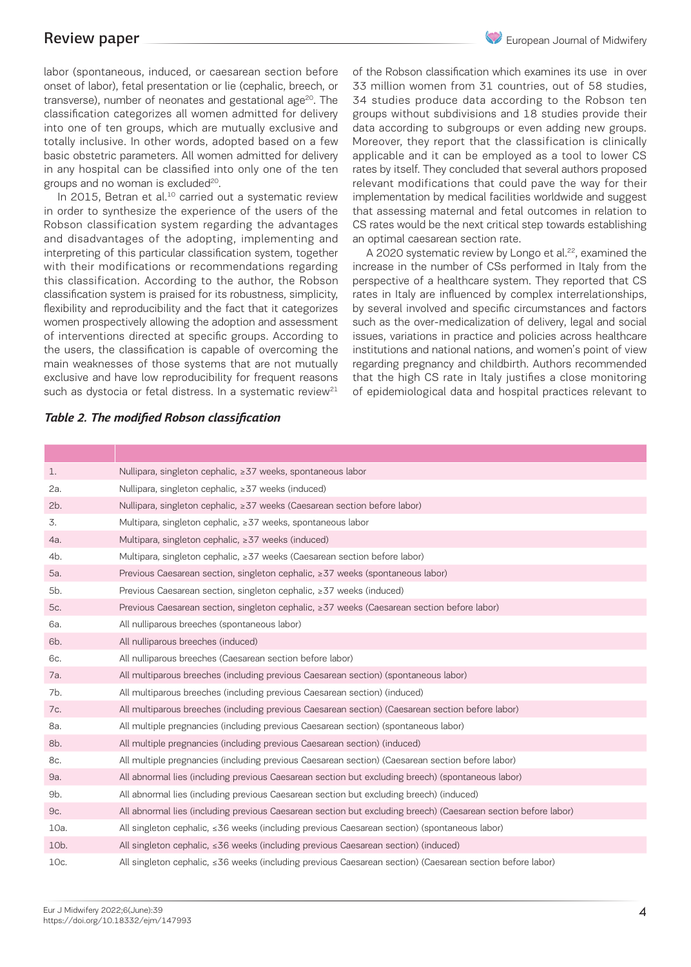# Review paper

labor (spontaneous, induced, or caesarean section before onset of labor), fetal presentation or lie (cephalic, breech, or transverse), number of neonates and gestational age<sup>20</sup>. The classification categorizes all women admitted for delivery into one of ten groups, which are mutually exclusive and totally inclusive. In other words, adopted based on a few basic obstetric parameters. All women admitted for delivery in any hospital can be classified into only one of the ten groups and no woman is excluded $20$ .

In 2015, Betran et al.<sup>10</sup> carried out a systematic review in order to synthesize the experience of the users of the Robson classification system regarding the advantages and disadvantages of the adopting, implementing and interpreting of this particular classification system, together with their modifications or recommendations regarding this classification. According to the author, the Robson classification system is praised for its robustness, simplicity, flexibility and reproducibility and the fact that it categorizes women prospectively allowing the adoption and assessment of interventions directed at specific groups. According to the users, the classification is capable of overcoming the main weaknesses of those systems that are not mutually exclusive and have low reproducibility for frequent reasons such as dystocia or fetal distress. In a systematic review $21$ 

of the Robson classification which examines its use in over 33 million women from 31 countries, out of 58 studies, 34 studies produce data according to the Robson ten groups without subdivisions and 18 studies provide their data according to subgroups or even adding new groups. Moreover, they report that the classification is clinically applicable and it can be employed as a tool to lower CS rates by itself. They concluded that several authors proposed relevant modifications that could pave the way for their implementation by medical facilities worldwide and suggest that assessing maternal and fetal outcomes in relation to CS rates would be the next critical step towards establishing an optimal caesarean section rate.

A 2020 systematic review by Longo et al.<sup>22</sup>, examined the increase in the number of CSs performed in Italy from the perspective of a healthcare system. They reported that CS rates in Italy are influenced by complex interrelationships, by several involved and specific circumstances and factors such as the over-medicalization of delivery, legal and social issues, variations in practice and policies across healthcare institutions and national nations, and women's point of view regarding pregnancy and childbirth. Authors recommended that the high CS rate in Italy justifies a close monitoring of epidemiological data and hospital practices relevant to

| 1.                | Nullipara, singleton cephalic, ≥37 weeks, spontaneous labor                                                    |
|-------------------|----------------------------------------------------------------------------------------------------------------|
| 2a.               | Nullipara, singleton cephalic, ≥37 weeks (induced)                                                             |
| 2b.               | Nullipara, singleton cephalic, ≥37 weeks (Caesarean section before labor)                                      |
| 3.                | Multipara, singleton cephalic, ≥37 weeks, spontaneous labor                                                    |
| 4a.               | Multipara, singleton cephalic, ≥37 weeks (induced)                                                             |
| 4b.               | Multipara, singleton cephalic, ≥37 weeks (Caesarean section before labor)                                      |
| 5a.               | Previous Caesarean section, singleton cephalic, ≥37 weeks (spontaneous labor)                                  |
| 5b.               | Previous Caesarean section, singleton cephalic, ≥37 weeks (induced)                                            |
| 5c.               | Previous Caesarean section, singleton cephalic, ≥37 weeks (Caesarean section before labor)                     |
| 6a.               | All nulliparous breeches (spontaneous labor)                                                                   |
| 6b.               | All nulliparous breeches (induced)                                                                             |
| 6с.               | All nulliparous breeches (Caesarean section before labor)                                                      |
| 7a.               | All multiparous breeches (including previous Caesarean section) (spontaneous labor)                            |
| 7b.               | All multiparous breeches (including previous Caesarean section) (induced)                                      |
| 7c.               | All multiparous breeches (including previous Caesarean section) (Caesarean section before labor)               |
| 8a.               | All multiple pregnancies (including previous Caesarean section) (spontaneous labor)                            |
| 8b.               | All multiple pregnancies (including previous Caesarean section) (induced)                                      |
| 8c.               | All multiple pregnancies (including previous Caesarean section) (Caesarean section before labor)               |
| 9a.               | All abnormal lies (including previous Caesarean section but excluding breech) (spontaneous labor)              |
| 9b.               | All abnormal lies (including previous Caesarean section but excluding breech) (induced)                        |
| 9c.               | All abnormal lies (including previous Caesarean section but excluding breech) (Caesarean section before labor) |
| 10a.              | All singleton cephalic, $\leq 36$ weeks (including previous Caesarean section) (spontaneous labor)             |
| 10 <sub>b</sub> . | All singleton cephalic, ≤36 weeks (including previous Caesarean section) (induced)                             |
| 10c.              | All singleton cephalic, ≤36 weeks (including previous Caesarean section) (Caesarean section before labor)      |

# *Table 2. The modified Robson classification*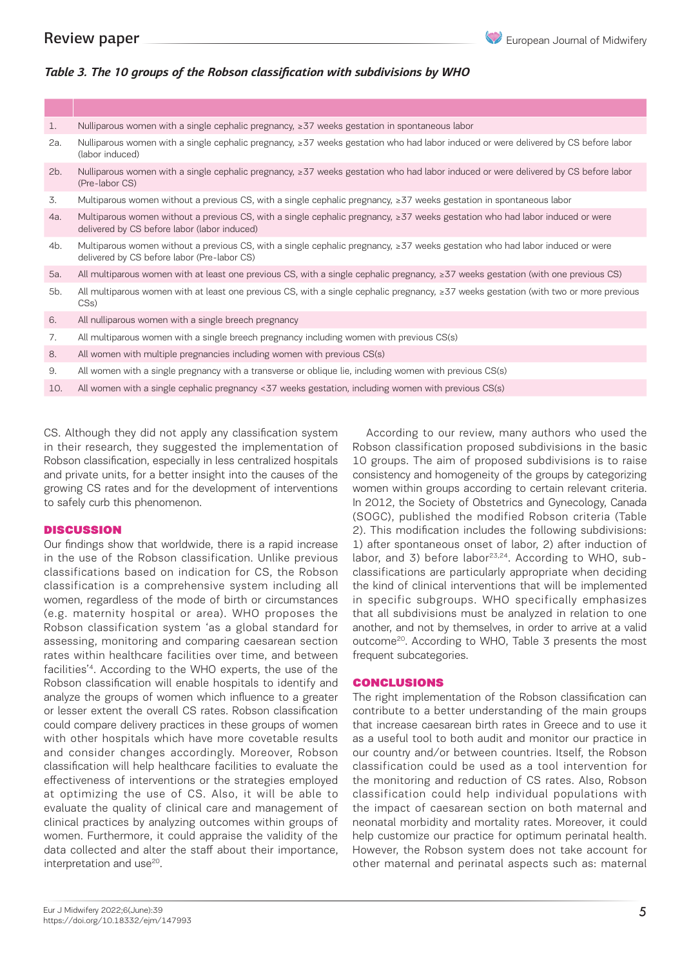# *Table 3. The 10 groups of the Robson classification with subdivisions by WHO*

| 1.  | Nulliparous women with a single cephalic pregnancy, $\geq$ 37 weeks gestation in spontaneous labor                                                                           |
|-----|------------------------------------------------------------------------------------------------------------------------------------------------------------------------------|
| 2a. | Nulliparous women with a single cephalic pregnancy, ≥37 weeks gestation who had labor induced or were delivered by CS before labor<br>(labor induced)                        |
| 2b. | Nulliparous women with a single cephalic pregnancy, ≥37 weeks gestation who had labor induced or were delivered by CS before labor<br>(Pre-labor CS)                         |
| 3.  | Multiparous women without a previous CS, with a single cephalic pregnancy, ≥37 weeks gestation in spontaneous labor                                                          |
| 4a. | Multiparous women without a previous CS, with a single cephalic pregnancy, ≥37 weeks gestation who had labor induced or were<br>delivered by CS before labor (labor induced) |
| 4b. | Multiparous women without a previous CS, with a single cephalic pregnancy, ≥37 weeks gestation who had labor induced or were<br>delivered by CS before labor (Pre-labor CS)  |
| 5a. | All multiparous women with at least one previous CS, with a single cephalic pregnancy, $\geq 37$ weeks gestation (with one previous CS)                                      |
| 5b. | All multiparous women with at least one previous CS, with a single cephalic pregnancy, ≥37 weeks gestation (with two or more previous<br>CS <sub>s</sub> )                   |
| 6.  | All nulliparous women with a single breech pregnancy                                                                                                                         |
| 7.  | All multiparous women with a single breech pregnancy including women with previous CS(s)                                                                                     |
| 8.  | All women with multiple pregnancies including women with previous CS(s)                                                                                                      |
| 9.  | All women with a single pregnancy with a transverse or oblique lie, including women with previous CS(s)                                                                      |

10. All women with a single cephalic pregnancy <37 weeks gestation, including women with previous CS(s)

CS. Although they did not apply any classification system in their research, they suggested the implementation of Robson classification, especially in less centralized hospitals and private units, for a better insight into the causes of the growing CS rates and for the development of interventions to safely curb this phenomenon.

### **DISCUSSION**

Our findings show that worldwide, there is a rapid increase in the use of the Robson classification. Unlike previous classifications based on indication for CS, the Robson classification is a comprehensive system including all women, regardless of the mode of birth or circumstances (e.g. maternity hospital or area). WHO proposes the Robson classification system 'as a global standard for assessing, monitoring and comparing caesarean section rates within healthcare facilities over time, and between facilities'4. According to the WHO experts, the use of the Robson classification will enable hospitals to identify and analyze the groups of women which influence to a greater or lesser extent the overall CS rates. Robson classification could compare delivery practices in these groups of women with other hospitals which have more covetable results and consider changes accordingly. Moreover, Robson classification will help healthcare facilities to evaluate the effectiveness of interventions or the strategies employed at optimizing the use of CS. Also, it will be able to evaluate the quality of clinical care and management of clinical practices by analyzing outcomes within groups of women. Furthermore, it could appraise the validity of the data collected and alter the staff about their importance, interpretation and use<sup>20</sup>.

According to our review, many authors who used the Robson classification proposed subdivisions in the basic 10 groups. The aim of proposed subdivisions is to raise consistency and homogeneity of the groups by categorizing women within groups according to certain relevant criteria. In 2012, the Society of Obstetrics and Gynecology, Canada (SOGC), published the modified Robson criteria (Table 2). This modification includes the following subdivisions: 1) after spontaneous onset of labor, 2) after induction of labor, and 3) before labor $2^{3,24}$ . According to WHO, subclassifications are particularly appropriate when deciding the kind of clinical interventions that will be implemented in specific subgroups. WHO specifically emphasizes that all subdivisions must be analyzed in relation to one another, and not by themselves, in order to arrive at a valid outcome20. According to WHO, Table 3 presents the most frequent subcategories.

### CONCLUSIONS

The right implementation of the Robson classification can contribute to a better understanding of the main groups that increase caesarean birth rates in Greece and to use it as a useful tool to both audit and monitor our practice in our country and/or between countries. Itself, the Robson classification could be used as a tool intervention for the monitoring and reduction of CS rates. Also, Robson classification could help individual populations with the impact of caesarean section on both maternal and neonatal morbidity and mortality rates. Moreover, it could help customize our practice for optimum perinatal health. However, the Robson system does not take account for other maternal and perinatal aspects such as: maternal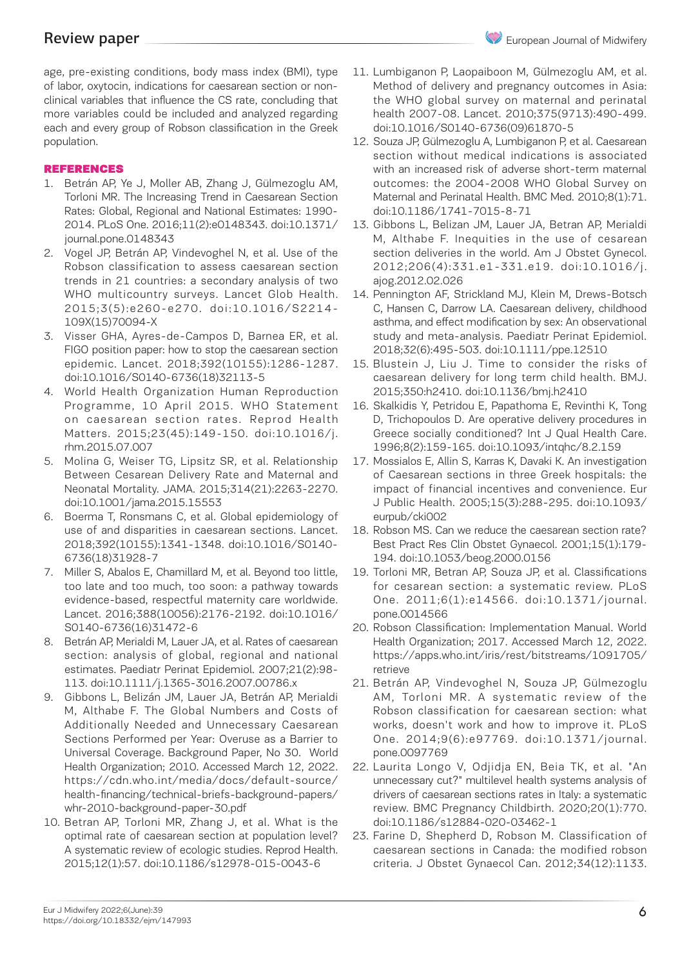age, pre-existing conditions, body mass index (BMI), type of labor, oxytocin, indications for caesarean section or nonclinical variables that influence the CS rate, concluding that more variables could be included and analyzed regarding each and every group of Robson classification in the Greek population.

# REFERENCES

- 1. Betrán AP, Ye J, Moller AB, Zhang J, Gülmezoglu AM, Torloni MR. The Increasing Trend in Caesarean Section Rates: Global, Regional and National Estimates: 1990- 2014. PLoS One. 2016;11(2):e0148343. doi:10.1371/ journal.pone.0148343
- 2. Vogel JP, Betrán AP, Vindevoghel N, et al. Use of the Robson classification to assess caesarean section trends in 21 countries: a secondary analysis of two WHO multicountry surveys. Lancet Glob Health. 2015;3(5):e260-e270. doi:10.1016/S2214- 109X(15)70094-X
- 3. Visser GHA, Ayres-de-Campos D, Barnea ER, et al. FIGO position paper: how to stop the caesarean section epidemic. Lancet. 2018;392(10155):1286-1287. doi:10.1016/S0140-6736(18)32113-5
- 4. World Health Organization Human Reproduction Programme, 10 April 2015. WHO Statement on caesarean section rates. Reprod Health Matters. 2015;23(45):149-150. doi:10.1016/j. rhm.2015.07.007
- 5. Molina G, Weiser TG, Lipsitz SR, et al. Relationship Between Cesarean Delivery Rate and Maternal and Neonatal Mortality. JAMA. 2015;314(21):2263-2270. doi:10.1001/jama.2015.15553
- 6. Boerma T, Ronsmans C, et al. Global epidemiology of use of and disparities in caesarean sections. Lancet. 2018;392(10155):1341-1348. doi:10.1016/S0140- 6736(18)31928-7
- 7. Miller S, Abalos E, Chamillard M, et al. Beyond too little, too late and too much, too soon: a pathway towards evidence-based, respectful maternity care worldwide. Lancet. 2016;388(10056):2176-2192. doi:10.1016/ S0140-6736(16)31472-6
- 8. Betrán AP, Merialdi M, Lauer JA, et al. Rates of caesarean section: analysis of global, regional and national estimates. Paediatr Perinat Epidemiol. 2007;21(2):98- 113. doi:10.1111/j.1365-3016.2007.00786.x
- 9. Gibbons L, Belizán JM, Lauer JA, Betrán AP, Merialdi M, Althabe F. The Global Numbers and Costs of Additionally Needed and Unnecessary Caesarean Sections Performed per Year: Overuse as a Barrier to Universal Coverage. Background Paper, No 30. World Health Organization; 2010. Accessed March 12, 2022. https://cdn.who.int/media/docs/default-source/ health-financing/technical-briefs-background-papers/ whr-2010-background-paper-30.pdf
- 10. Betran AP, Torloni MR, Zhang J, et al. What is the optimal rate of caesarean section at population level? A systematic review of ecologic studies. Reprod Health. 2015;12(1):57. doi:10.1186/s12978-015-0043-6
- 11. Lumbiganon P, Laopaiboon M, Gülmezoglu AM, et al. Method of delivery and pregnancy outcomes in Asia: the WHO global survey on maternal and perinatal health 2007-08. Lancet. 2010;375(9713):490-499. doi:10.1016/S0140-6736(09)61870-5
- 12. Souza JP, Gülmezoglu A, Lumbiganon P, et al. Caesarean section without medical indications is associated with an increased risk of adverse short-term maternal outcomes: the 2004-2008 WHO Global Survey on Maternal and Perinatal Health. BMC Med. 2010;8(1):71. doi:10.1186/1741-7015-8-71
- 13. Gibbons L, Belizan JM, Lauer JA, Betran AP, Merialdi M, Althabe F. Inequities in the use of cesarean section deliveries in the world. Am J Obstet Gynecol. 2012;206(4):331.e1-331.e19. doi:10.1016/j. ajog.2012.02.026
- 14. Pennington AF, Strickland MJ, Klein M, Drews-Botsch C, Hansen C, Darrow LA. Caesarean delivery, childhood asthma, and effect modification by sex: An observational study and meta-analysis. Paediatr Perinat Epidemiol. 2018;32(6):495-503. doi:10.1111/ppe.12510
- 15. Blustein J, Liu J. Time to consider the risks of caesarean delivery for long term child health. BMJ. 2015;350:h2410. doi:10.1136/bmj.h2410
- 16. Skalkidis Y, Petridou E, Papathoma E, Revinthi K, Tong D, Trichopoulos D. Are operative delivery procedures in Greece socially conditioned? Int J Qual Health Care. 1996;8(2):159-165. doi:10.1093/intqhc/8.2.159
- 17. Mossialos E, Allin S, Karras K, Davaki K. An investigation of Caesarean sections in three Greek hospitals: the impact of financial incentives and convenience. Eur J Public Health. 2005;15(3):288-295. doi:10.1093/ eurpub/cki002
- 18. Robson MS. Can we reduce the caesarean section rate? Best Pract Res Clin Obstet Gynaecol. 2001;15(1):179- 194. doi:10.1053/beog.2000.0156
- 19. Torloni MR, Betran AP, Souza JP, et al. Classifications for cesarean section: a systematic review. PLoS One. 2011;6(1):e14566. doi:10.1371/journal. pone.0014566
- 20. Robson Classification: Implementation Manual. World Health Organization; 2017. Accessed March 12, 2022. https://apps.who.int/iris/rest/bitstreams/1091705/ retrieve
- 21. Betrán AP, Vindevoghel N, Souza JP, Gülmezoglu AM, Torloni MR. A systematic review of the Robson classification for caesarean section: what works, doesn't work and how to improve it. PLoS One. 2014;9(6):e97769. doi:10.1371/journal. pone.0097769
- 22. Laurita Longo V, Odjidja EN, Beia TK, et al. "An unnecessary cut?" multilevel health systems analysis of drivers of caesarean sections rates in Italy: a systematic review. BMC Pregnancy Childbirth. 2020;20(1):770. doi:10.1186/s12884-020-03462-1
- 23. Farine D, Shepherd D, Robson M. Classification of caesarean sections in Canada: the modified robson criteria. J Obstet Gynaecol Can. 2012;34(12):1133.